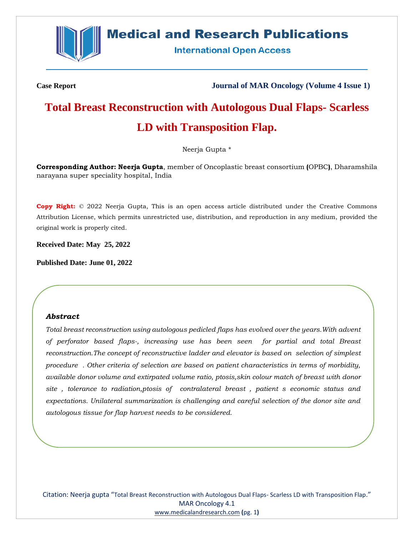

### **Medical and Research Publications**

**International Open Access** 

**Case Report Journal of MAR Oncology (Volume 4 Issue 1)**

## **Total Breast Reconstruction with Autologous Dual Flaps- Scarless LD with Transposition Flap.**

Neerja Gupta \*

**Corresponding Author: Neerja Gupta**, member of Oncoplastic breast consortium **(**OPBC**)**, Dharamshila narayana super speciality hospital, India

**Copy Right:** © 2022 Neerja Gupta, This is an open access article distributed under the Creative Commons Attribution License, which permits unrestricted use, distribution, and reproduction in any medium, provided the original work is properly cited.

**Received Date: May 25, 2022**

**Published Date: June 01, 2022**

#### *Abstract*

*Total breast reconstruction using autologous pedicled flaps has evolved over the years.With advent of perforator based flaps-, increasing use has been seen for partial and total Breast reconstruction.The concept of reconstructive ladder and elevator is based on selection of simplest procedure . Other criteria of selection are based on patient characteristics in terms of morbidity, available donor volume and extirpated volume ratio, ptosis,skin colour match of breast with donor site , tolerance to radiation,ptosis of contralateral breast , patient s economic status and expectations. Unilateral summarization is challenging and careful selection of the donor site and autologous tissue for flap harvest needs to be considered.*

Citation: Neerja gupta "Total Breast Reconstruction with Autologous Dual Flaps- Scarless LD with Transposition Flap." MAR Oncology 4.1 [www.medicalandresearch.com](http://www.medicalandresearch.com/) **(**pg. 1**)**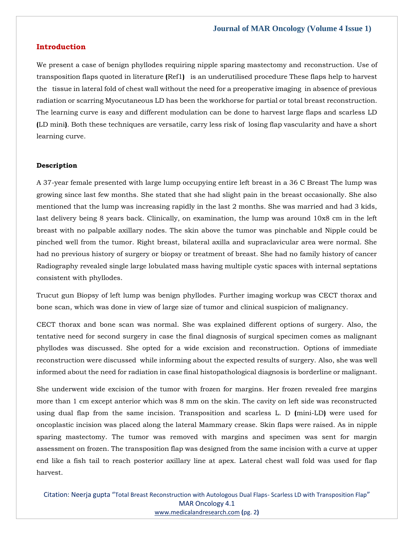#### **Introduction**

We present a case of benign phyllodes requiring nipple sparing mastectomy and reconstruction. Use of transposition flaps quoted in literature **(**Ref1**)** is an underutilised procedure These flaps help to harvest the tissue in lateral fold of chest wall without the need for a preoperative imaging in absence of previous radiation or scarring Myocutaneous LD has been the workhorse for partial or total breast reconstruction. The learning curve is easy and different modulation can be done to harvest large flaps and scarless LD **(**LD mini**)**. Both these techniques are versatile, carry less risk of losing flap vascularity and have a short learning curve.

#### **Description**

A 37-year female presented with large lump occupying entire left breast in a 36 C Breast The lump was growing since last few months. She stated that she had slight pain in the breast occasionally. She also mentioned that the lump was increasing rapidly in the last 2 months. She was married and had 3 kids, last delivery being 8 years back. Clinically, on examination, the lump was around 10x8 cm in the left breast with no palpable axillary nodes. The skin above the tumor was pinchable and Nipple could be pinched well from the tumor. Right breast, bilateral axilla and supraclavicular area were normal. She had no previous history of surgery or biopsy or treatment of breast. She had no family history of cancer Radiography revealed single large lobulated mass having multiple cystic spaces with internal septations consistent with phyllodes.

Trucut gun Biopsy of left lump was benign phyllodes. Further imaging workup was CECT thorax and bone scan, which was done in view of large size of tumor and clinical suspicion of malignancy.

CECT thorax and bone scan was normal. She was explained different options of surgery. Also, the tentative need for second surgery in case the final diagnosis of surgical specimen comes as malignant phyllodes was discussed. She opted for a wide excision and reconstruction. Options of immediate reconstruction were discussed while informing about the expected results of surgery. Also, she was well informed about the need for radiation in case final histopathological diagnosis is borderline or malignant.

She underwent wide excision of the tumor with frozen for margins. Her frozen revealed free margins more than 1 cm except anterior which was 8 mm on the skin. The cavity on left side was reconstructed using dual flap from the same incision. Transposition and scarless L. D **(**mini-LD**)** were used for oncoplastic incision was placed along the lateral Mammary crease. Skin flaps were raised. As in nipple sparing mastectomy. The tumor was removed with margins and specimen was sent for margin assessment on frozen. The transposition flap was designed from the same incision with a curve at upper end like a fish tail to reach posterior axillary line at apex. Lateral chest wall fold was used for flap harvest.

Citation: Neerja gupta "Total Breast Reconstruction with Autologous Dual Flaps- Scarless LD with Transposition Flap" MAR Oncology 4.1 [www.medicalandresearch.com](http://www.medicalandresearch.com/) **(**pg. 2**)**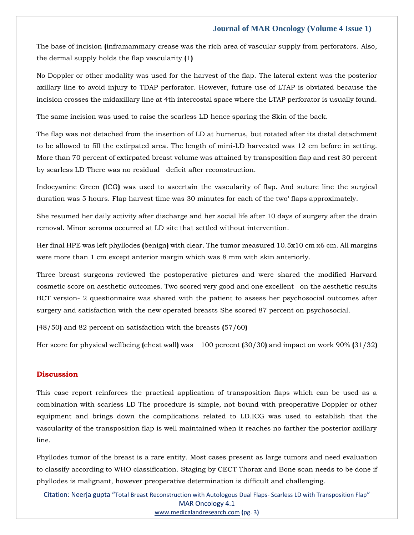The base of incision **(**inframammary crease was the rich area of vascular supply from perforators. Also, the dermal supply holds the flap vascularity **(**1**)**

No Doppler or other modality was used for the harvest of the flap. The lateral extent was the posterior axillary line to avoid injury to TDAP perforator. However, future use of LTAP is obviated because the incision crosses the midaxillary line at 4th intercostal space where the LTAP perforator is usually found.

The same incision was used to raise the scarless LD hence sparing the Skin of the back.

The flap was not detached from the insertion of LD at humerus, but rotated after its distal detachment to be allowed to fill the extirpated area. The length of mini-LD harvested was 12 cm before in setting. More than 70 percent of extirpated breast volume was attained by transposition flap and rest 30 percent by scarless LD There was no residual deficit after reconstruction.

Indocyanine Green **(**ICG**)** was used to ascertain the vascularity of flap. And suture line the surgical duration was 5 hours. Flap harvest time was 30 minutes for each of the two' flaps approximately.

She resumed her daily activity after discharge and her social life after 10 days of surgery after the drain removal. Minor seroma occurred at LD site that settled without intervention.

Her final HPE was left phyllodes **(**benign**)** with clear. The tumor measured 10.5x10 cm x6 cm. All margins were more than 1 cm except anterior margin which was 8 mm with skin anteriorly.

Three breast surgeons reviewed the postoperative pictures and were shared the modified Harvard cosmetic score on aesthetic outcomes. Two scored very good and one excellent on the aesthetic results BCT version- 2 questionnaire was shared with the patient to assess her psychosocial outcomes after surgery and satisfaction with the new operated breasts She scored 87 percent on psychosocial.

**(**48/50**)** and 82 percent on satisfaction with the breasts **(**57/60**)**

Her score for physical wellbeing **(**chest wall**)** was 100 percent **(**30/30**)** and impact on work 90% **(**31/32**)**

#### **Discussion**

This case report reinforces the practical application of transposition flaps which can be used as a combination with scarless LD The procedure is simple, not bound with preoperative Doppler or other equipment and brings down the complications related to LD.ICG was used to establish that the vascularity of the transposition flap is well maintained when it reaches no farther the posterior axillary line.

Phyllodes tumor of the breast is a rare entity. Most cases present as large tumors and need evaluation to classify according to WHO classification. Staging by CECT Thorax and Bone scan needs to be done if phyllodes is malignant, however preoperative determination is difficult and challenging.

Citation: Neerja gupta "Total Breast Reconstruction with Autologous Dual Flaps- Scarless LD with Transposition Flap" MAR Oncology 4.1 [www.medicalandresearch.com](http://www.medicalandresearch.com/) **(**pg. 3**)**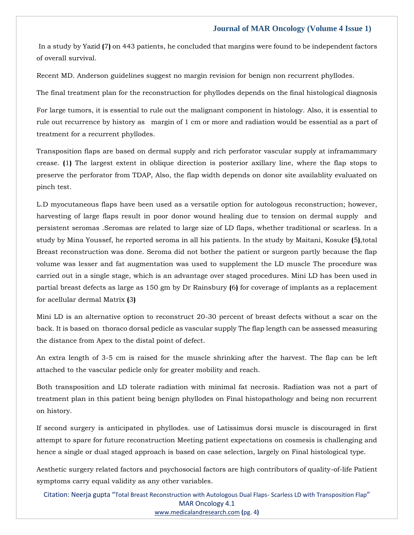In a study by Yazid **(**7**)** on 443 patients, he concluded that margins were found to be independent factors of overall survival.

Recent MD. Anderson guidelines suggest no margin revision for benign non recurrent phyllodes.

The final treatment plan for the reconstruction for phyllodes depends on the final histological diagnosis

For large tumors, it is essential to rule out the malignant component in histology. Also, it is essential to rule out recurrence by history as margin of 1 cm or more and radiation would be essential as a part of treatment for a recurrent phyllodes.

Transposition flaps are based on dermal supply and rich perforator vascular supply at inframammary crease. **(**1**)** The largest extent in oblique direction is posterior axillary line, where the flap stops to preserve the perforator from TDAP, Also, the flap width depends on donor site availablity evaluated on pinch test.

L.D myocutaneous flaps have been used as a versatile option for autologous reconstruction; however, harvesting of large flaps result in poor donor wound healing due to tension on dermal supply and persistent seromas .Seromas are related to large size of LD flaps, whether traditional or scarless. In a study by Mina Youssef, he reported seroma in all his patients. In the study by Maitani, Kosuke **(**5**)**,total Breast reconstruction was done. Seroma did not bother the patient or surgeon partly because the flap volume was lesser and fat augmentation was used to supplement the LD muscle The procedure was carried out in a single stage, which is an advantage over staged procedures. Mini LD has been used in partial breast defects as large as 150 gm by Dr Rainsbury **(**6**)** for coverage of implants as a replacement for acellular dermal Matrix **(**3**)**

Mini LD is an alternative option to reconstruct 20-30 percent of breast defects without a scar on the back. It is based on thoraco dorsal pedicle as vascular supply The flap length can be assessed measuring the distance from Apex to the distal point of defect.

An extra length of 3-5 cm is raised for the muscle shrinking after the harvest. The flap can be left attached to the vascular pedicle only for greater mobility and reach.

Both transposition and LD tolerate radiation with minimal fat necrosis. Radiation was not a part of treatment plan in this patient being benign phyllodes on Final histopathology and being non recurrent on history.

If second surgery is anticipated in phyllodes. use of Latissimus dorsi muscle is discouraged in first attempt to spare for future reconstruction Meeting patient expectations on cosmesis is challenging and hence a single or dual staged approach is based on case selection, largely on Final histological type.

Aesthetic surgery related factors and psychosocial factors are high contributors of quality-of-life Patient symptoms carry equal validity as any other variables.

Citation: Neerja gupta "Total Breast Reconstruction with Autologous Dual Flaps- Scarless LD with Transposition Flap" MAR Oncology 4.1 [www.medicalandresearch.com](http://www.medicalandresearch.com/) **(**pg. 4**)**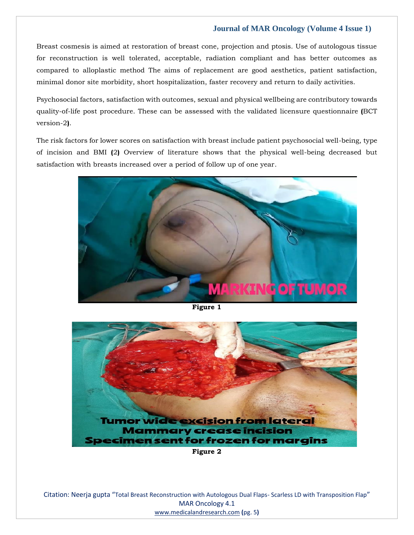Breast cosmesis is aimed at restoration of breast cone, projection and ptosis. Use of autologous tissue for reconstruction is well tolerated, acceptable, radiation compliant and has better outcomes as compared to alloplastic method The aims of replacement are good aesthetics, patient satisfaction, minimal donor site morbidity, short hospitalization, faster recovery and return to daily activities.

Psychosocial factors, satisfaction with outcomes, sexual and physical wellbeing are contributory towards quality-of-life post procedure. These can be assessed with the validated licensure questionnaire **(**BCT version-2**)**.

The risk factors for lower scores on satisfaction with breast include patient psychosocial well-being, type of incision and BMI **(**2**)** Overview of literature shows that the physical well-being decreased but satisfaction with breasts increased over a period of follow up of one year.



**Figure 1**



Citation: Neerja gupta "Total Breast Reconstruction with Autologous Dual Flaps- Scarless LD with Transposition Flap" MAR Oncology 4.1 [www.medicalandresearch.com](http://www.medicalandresearch.com/) **(**pg. 5**)**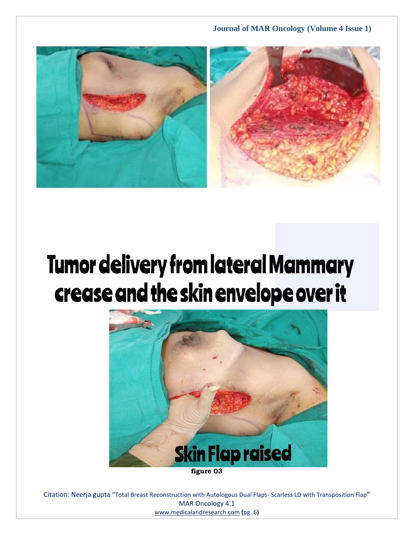

# **Tumor delivery from lateral Mammary** crease and the skin envelope over it



Citation: Neerja gupta "Total Breast Reconstruction with Autologous Dual Flaps- Scarless LD with Transposition Flap" MAR Oncology 4.1 [www.medicalandresearch.com](http://www.medicalandresearch.com/) **(**pg. 6**)**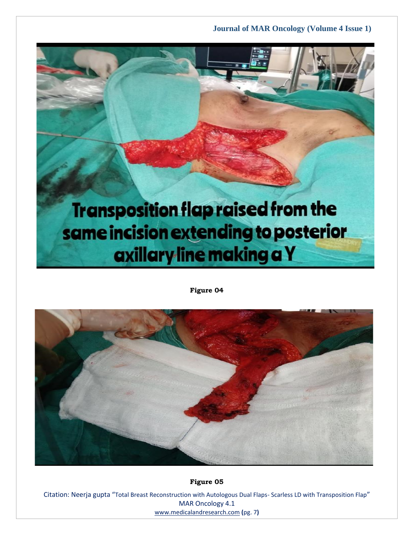## **Transposition flap raised from the** same incision extending to posterior axillary line making a Y

**Figure 04**



**Figure 05**

Citation: Neerja gupta "Total Breast Reconstruction with Autologous Dual Flaps- Scarless LD with Transposition Flap" MAR Oncology 4.1 [www.medicalandresearch.com](http://www.medicalandresearch.com/) **(**pg. 7**)**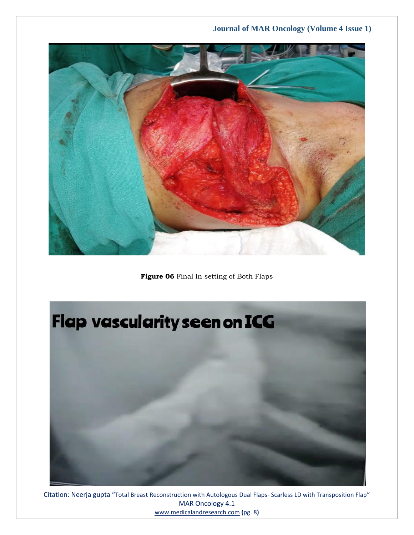

**Figure 06** Final In setting of Both Flaps



Citation: Neerja gupta "Total Breast Reconstruction with Autologous Dual Flaps- Scarless LD with Transposition Flap" MAR Oncology 4.1 [www.medicalandresearch.com](http://www.medicalandresearch.com/) **(**pg. 8**)**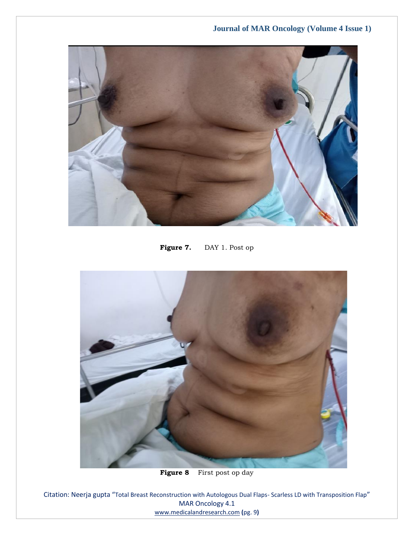

Figure 7. DAY 1. Post op



**Figure 8** First post op day

Citation: Neerja gupta "Total Breast Reconstruction with Autologous Dual Flaps- Scarless LD with Transposition Flap" MAR Oncology 4.1 [www.medicalandresearch.com](http://www.medicalandresearch.com/) **(**pg. 9**)**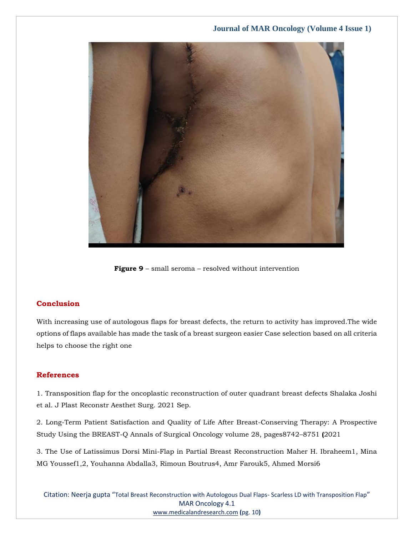

**Figure 9** – small seroma – resolved without intervention

#### **Conclusion**

With increasing use of autologous flaps for breast defects, the return to activity has improved.The wide options of flaps available has made the task of a breast surgeon easier Case selection based on all criteria helps to choose the right one

#### **References**

[1. Transposition flap for the oncoplastic reconstruction of outer quadrant breast defects Shalaka Joshi](https://www.google.com/search?q=Transposition+flap+for+the+oncoplastic+reconstruction+of+outer+quadrant+breast+defects+Shalaka+Joshi+&sxsrf=ALiCzsar0ypG5lxAqkS6r7IR39PAJAkCFg%3A1653558324566&ei=NEyPYoyNIq-12roPud2m4Aw&ved=0ahUKEwiM97Pk8Pz3AhWvmlYBHbmuCcwQ4dUDCA4&oq=Transposition+flap+for+the+oncoplastic+reconstruction+of+outer+quadrant+breast+defects+Shalaka+Joshi+&gs_lcp=Cgdnd3Mtd2l6EAwyBwgjEOoCECcyBwgjEOoCECcyBwgjEOoCECcyBwgjEOoCECcyBwgjEOoCECcyBwgjEOoCECcyBwgjEOoCECcyBwgjEOoCECcyBwgjEOoCECcyBwgjEOoCECdKBAhBGABKBAhGGABQhwJYhwJg-QZoAXAAeACAAQCIAQCSAQCYAQCgAQGgAQKwAQrAAQE&sclient=gws-wiz)  [et al. J Plast Reconstr Aesthet Surg. 2021 Sep.](https://www.google.com/search?q=Transposition+flap+for+the+oncoplastic+reconstruction+of+outer+quadrant+breast+defects+Shalaka+Joshi+&sxsrf=ALiCzsar0ypG5lxAqkS6r7IR39PAJAkCFg%3A1653558324566&ei=NEyPYoyNIq-12roPud2m4Aw&ved=0ahUKEwiM97Pk8Pz3AhWvmlYBHbmuCcwQ4dUDCA4&oq=Transposition+flap+for+the+oncoplastic+reconstruction+of+outer+quadrant+breast+defects+Shalaka+Joshi+&gs_lcp=Cgdnd3Mtd2l6EAwyBwgjEOoCECcyBwgjEOoCECcyBwgjEOoCECcyBwgjEOoCECcyBwgjEOoCECcyBwgjEOoCECcyBwgjEOoCECcyBwgjEOoCECcyBwgjEOoCECcyBwgjEOoCECdKBAhBGABKBAhGGABQhwJYhwJg-QZoAXAAeACAAQCIAQCSAQCYAQCgAQGgAQKwAQrAAQE&sclient=gws-wiz)

[2. Long-Term Patient Satisfaction and Quality of Life After Breast-Conserving Therapy: A Prospective](https://www.google.com/search?q=Long-Term+Patient+Satisfaction+and+Quality+of+Life+After+Breast-Conserving+Therapy&sxsrf=ALiCzsaFp9iMRhQk6BPHwUUVwdlVrsydfw%3A1653561244778&ei=nFePYvaDL92z2roP3eSrqAo&ved=0ahUKEwj2we_U-_z3AhXdmVYBHV3yCqUQ4dUDCA4&oq=Long-Term+Patient+Satisfaction+and+Quality+of+Life+After+Breast-Conserving+Therapy&gs_lcp=Cgdnd3Mtd2l6EAw6BwgjEOoCECdKBAhBGABKBAhGGABQyAFYyAFg0gRoAXAAeACAAXqIAXqSAQMwLjGYAQCgAQGgAQKwAQrAAQE&sclient=gws-wiz)  [Study Using the BREAST-Q Annals of Surgical Oncology volume 28, pages8742](https://www.google.com/search?q=Long-Term+Patient+Satisfaction+and+Quality+of+Life+After+Breast-Conserving+Therapy&sxsrf=ALiCzsaFp9iMRhQk6BPHwUUVwdlVrsydfw%3A1653561244778&ei=nFePYvaDL92z2roP3eSrqAo&ved=0ahUKEwj2we_U-_z3AhXdmVYBHV3yCqUQ4dUDCA4&oq=Long-Term+Patient+Satisfaction+and+Quality+of+Life+After+Breast-Conserving+Therapy&gs_lcp=Cgdnd3Mtd2l6EAw6BwgjEOoCECdKBAhBGABKBAhGGABQyAFYyAFg0gRoAXAAeACAAXqIAXqSAQMwLjGYAQCgAQGgAQKwAQrAAQE&sclient=gws-wiz)–8751 **(**2021

[3. The Use of Latissimus Dorsi Mini-Flap in Partial Breast Reconstruction Maher H. Ibraheem1, Mina](https://www.google.com/search?q=The+Use+of+Latissimus+Dorsi+Mini-Flap+in+Partial+Breast+Reconstruction+Maher+&sxsrf=ALiCzsYhDQbmFFSlVKIt6N1_bF4eOpUxvg%3A1653561265651&ei=sVePYvCVJ_Dq2roPkceG-AQ&ved=0ahUKEwiwsune-_z3AhVwtVYBHZGjAU8Q4dUDCA4&oq=The+Use+of+Latissimus+Dorsi+Mini-Flap+in+Partial+Breast+Reconstruction+Maher+&gs_lcp=Cgdnd3Mtd2l6EAw6BwgjEOoCECdKBAhBGABKBAhGGABQ_gJY_gJg-AVoAXAAeACAAYIBiAGCAZIBAzAuMZgBAKABAaABArABCsABAQ&sclient=gws-wiz)  [MG Youssef1,2, Youhanna Abdalla3, Rimoun Boutrus4, Amr Farouk5, Ahmed Morsi6](https://www.google.com/search?q=The+Use+of+Latissimus+Dorsi+Mini-Flap+in+Partial+Breast+Reconstruction+Maher+&sxsrf=ALiCzsYhDQbmFFSlVKIt6N1_bF4eOpUxvg%3A1653561265651&ei=sVePYvCVJ_Dq2roPkceG-AQ&ved=0ahUKEwiwsune-_z3AhVwtVYBHZGjAU8Q4dUDCA4&oq=The+Use+of+Latissimus+Dorsi+Mini-Flap+in+Partial+Breast+Reconstruction+Maher+&gs_lcp=Cgdnd3Mtd2l6EAw6BwgjEOoCECdKBAhBGABKBAhGGABQ_gJY_gJg-AVoAXAAeACAAYIBiAGCAZIBAzAuMZgBAKABAaABArABCsABAQ&sclient=gws-wiz)

Citation: Neerja gupta "Total Breast Reconstruction with Autologous Dual Flaps- Scarless LD with Transposition Flap" MAR Oncology 4.1 [www.medicalandresearch.com](http://www.medicalandresearch.com/) **(**pg. 10**)**